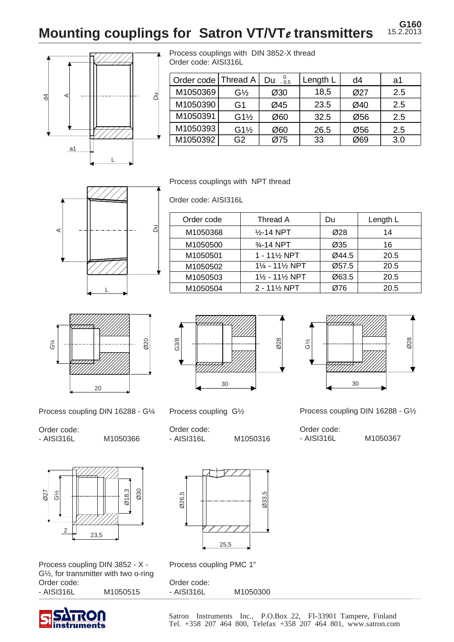**Mounting couplings for Satron VT/VTe transmitters 15.2.2013** 



Process couplings with DIN 3852-X thread Order code: AISI316L

| Order code | Thread A        | $0\phantom{0}0.5$<br>Du | Length L | d4  | a1  |
|------------|-----------------|-------------------------|----------|-----|-----|
| M1050369   | $G\frac{1}{2}$  | Ø30                     | 18,5     | Ø27 | 2.5 |
| M1050390   | G1              | Ø45                     | 23.5     | Ø40 | 2.5 |
| M1050391   | $G1\frac{1}{2}$ | Ø60                     | 32.5     | Ø56 | 2.5 |
| M1050393   | $G1\frac{1}{2}$ | Ø60                     | 26.5     | Ø56 | 2.5 |
| M1050392   | G <sub>2</sub>  | Ø75                     | 33       | Ø69 | 3.0 |

Process couplings with NPT thread

Order code: AISI316L



| Order code | Thread A                              | Du    | Length L |
|------------|---------------------------------------|-------|----------|
| M1050368   | $\frac{1}{2}$ -14 NPT                 | Ø28   | 14       |
| M1050500   | 3⁄4-14 NPT                            | Ø35   | 16       |
| M1050501   | $1 - 11\frac{1}{2}$ NPT               | Ø44.5 | 20.5     |
| M1050502   | $1\% - 11\%$ NPT                      | Ø57.5 | 20.5     |
| M1050503   | $1\frac{1}{2}$ - 11 $\frac{1}{2}$ NPT | Ø63.5 | 20.5     |
| M1050504   | $2 - 11\%$ NPT                        | Ø76   | 20.5     |



Process coupling DIN 16288 - G¼

Order code:

- AISI316L M1050366



Process coupling DIN 3852 - X - G½, for transmitter with two o-ring Order code: - AISI316L M1050515





Process coupling G½

Order code: - AISI316L M1050316



Ø28

Process coupling PMC 1"

Order code: - AISI316L M1050300

25,5

30 G½

Process coupling DIN 16288 - G½

- AISI316L M1050367

Satron Instruments Inc., P.O.Box 22, FI-33901 Tampere, Finland Tel. +358 207 464 800, Telefax +358 207 464 801, www.satron.com